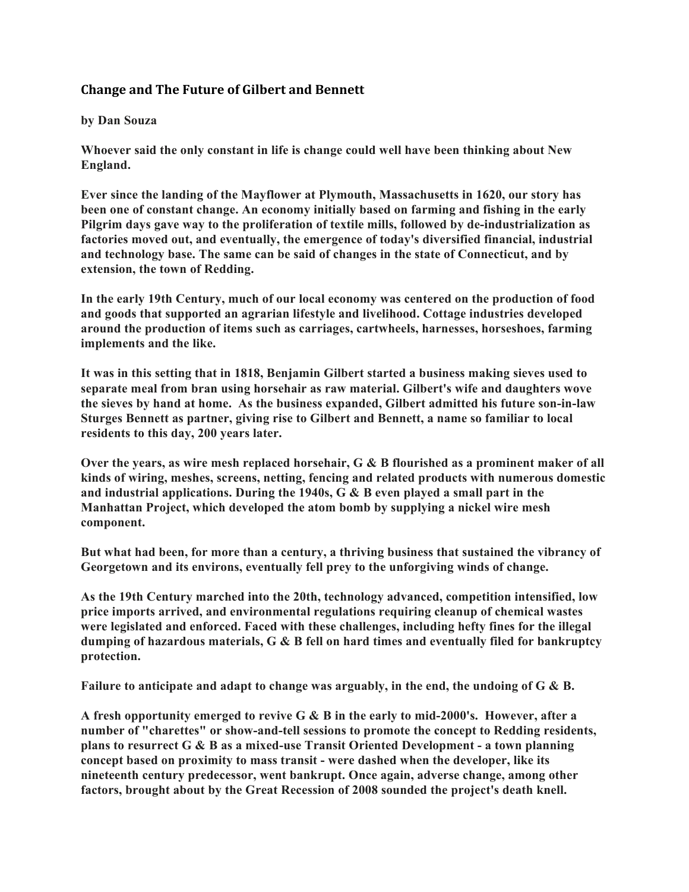## **Change and The Future of Gilbert and Bennett**

## **by Dan Souza**

**Whoever said the only constant in life is change could well have been thinking about New England.**

**Ever since the landing of the Mayflower at Plymouth, Massachusetts in 1620, our story has been one of constant change. An economy initially based on farming and fishing in the early Pilgrim days gave way to the proliferation of textile mills, followed by de-industrialization as factories moved out, and eventually, the emergence of today's diversified financial, industrial and technology base. The same can be said of changes in the state of Connecticut, and by extension, the town of Redding.**

**In the early 19th Century, much of our local economy was centered on the production of food and goods that supported an agrarian lifestyle and livelihood. Cottage industries developed around the production of items such as carriages, cartwheels, harnesses, horseshoes, farming implements and the like.**

**It was in this setting that in 1818, Benjamin Gilbert started a business making sieves used to separate meal from bran using horsehair as raw material. Gilbert's wife and daughters wove the sieves by hand at home. As the business expanded, Gilbert admitted his future son-in-law Sturges Bennett as partner, giving rise to Gilbert and Bennett, a name so familiar to local residents to this day, 200 years later.**

**Over the years, as wire mesh replaced horsehair, G & B flourished as a prominent maker of all kinds of wiring, meshes, screens, netting, fencing and related products with numerous domestic and industrial applications. During the 1940s, G & B even played a small part in the Manhattan Project, which developed the atom bomb by supplying a nickel wire mesh component.**

**But what had been, for more than a century, a thriving business that sustained the vibrancy of Georgetown and its environs, eventually fell prey to the unforgiving winds of change.**

**As the 19th Century marched into the 20th, technology advanced, competition intensified, low price imports arrived, and environmental regulations requiring cleanup of chemical wastes were legislated and enforced. Faced with these challenges, including hefty fines for the illegal dumping of hazardous materials, G & B fell on hard times and eventually filed for bankruptcy protection.**

**Failure to anticipate and adapt to change was arguably, in the end, the undoing of G & B.**

**A fresh opportunity emerged to revive G & B in the early to mid-2000's. However, after a number of "charettes" or show-and-tell sessions to promote the concept to Redding residents, plans to resurrect G & B as a mixed-use Transit Oriented Development - a town planning concept based on proximity to mass transit - were dashed when the developer, like its nineteenth century predecessor, went bankrupt. Once again, adverse change, among other factors, brought about by the Great Recession of 2008 sounded the project's death knell.**